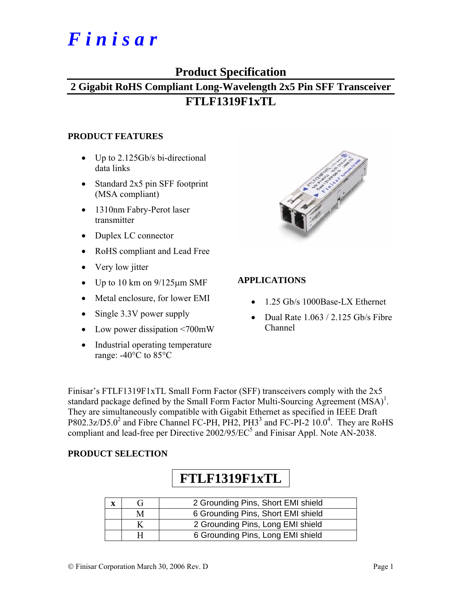# *F i n i s a r*

## **Product Specification**

# **2 Gigabit RoHS Compliant Long-Wavelength 2x5 Pin SFF Transceiver FTLF1319F1xTL**

#### **PRODUCT FEATURES**

- Up to 2.125Gb/s bi-directional data links
- Standard 2x5 pin SFF footprint (MSA compliant)
- 1310nm Fabry-Perot laser transmitter
- Duplex LC connector
- RoHS compliant and Lead Free
- Very low jitter
- Up to 10 km on  $9/125 \mu m$  SMF
- Metal enclosure, for lower EMI
- Single 3.3V power supply
- Low power dissipation <700mW
- Industrial operating temperature range: -40°C to 85°C



#### **APPLICATIONS**

- 1.25 Gb/s 1000Base-LX Ethernet
- Dual Rate  $1.063 / 2.125$  Gb/s Fibre Channel

Finisar's FTLF1319F1xTL Small Form Factor (SFF) transceivers comply with the 2x5 standard package defined by the Small Form Factor Multi-Sourcing Agreement  $(MSA)^{1}$ . They are simultaneously compatible with Gigabit Ethernet as specified in IEEE Draft  $P802.3z/D5.0^2$  and Fibre Channel FC-PH, PH2, PH3<sup>3</sup> and FC-PI-2 10.0<sup>4</sup>. They are RoHS compliant and lead-free per Directive  $2002/95/EC^5$  and Finisar Appl. Note AN-2038.

#### **PRODUCT SELECTION**

# **FTLF1319F1xTL**

|   | 2 Grounding Pins, Short EMI shield |
|---|------------------------------------|
| M | 6 Grounding Pins, Short EMI shield |
|   | 2 Grounding Pins, Long EMI shield  |
|   | 6 Grounding Pins, Long EMI shield  |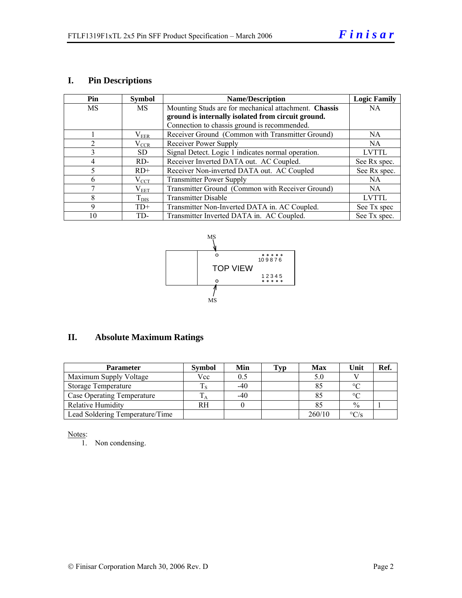#### **I. Pin Descriptions**

| Pin            | <b>Symbol</b> | <b>Name/Description</b>                               | <b>Logic Family</b> |
|----------------|---------------|-------------------------------------------------------|---------------------|
| MS             | MS            | Mounting Studs are for mechanical attachment. Chassis | <b>NA</b>           |
|                |               | ground is internally isolated from circuit ground.    |                     |
|                |               | Connection to chassis ground is recommended.          |                     |
|                | $\rm V_{EER}$ | Receiver Ground (Common with Transmitter Ground)      | NA.                 |
| $\overline{c}$ | $\rm V_{CCR}$ | Receiver Power Supply                                 | NA.                 |
| 3              | SD.           | Signal Detect. Logic 1 indicates normal operation.    | <b>LVTTL</b>        |
| $\overline{4}$ | RD-           | Receiver Inverted DATA out. AC Coupled.               | See Rx spec.        |
| 5              | $RD+$         | Receiver Non-inverted DATA out. AC Coupled            | See Rx spec.        |
| 6              | $\rm V_{CCT}$ | <b>Transmitter Power Supply</b>                       | <b>NA</b>           |
|                | $\rm V_{EET}$ | Transmitter Ground (Common with Receiver Ground)      | NA.                 |
| 8              | $T_{\rm DIS}$ | <b>Transmitter Disable</b>                            | <b>LVTTL</b>        |
| 9              | $TD+$         | Transmitter Non-Inverted DATA in. AC Coupled.         | See Tx spec         |
| 10             | TD-           | Transmitter Inverted DATA in. AC Coupled.             | See Tx spec.        |



### **II. Absolute Maximum Ratings**

| <b>Parameter</b>                | <b>Symbol</b> | Min   | Typ | <b>Max</b> | Unit              | Ref. |
|---------------------------------|---------------|-------|-----|------------|-------------------|------|
| Maximum Supply Voltage          | Vcc           | 0.5   |     |            |                   |      |
| Storage Temperature             |               | $-40$ |     |            | $\circ$           |      |
| Case Operating Temperature      |               | $-40$ |     |            | $\circ$           |      |
| Relative Humidity               | RH            |       |     |            | $\frac{0}{0}$     |      |
| Lead Soldering Temperature/Time |               |       |     | 260/10     | $\rm ^{\circ}C/s$ |      |

Notes:

1. Non condensing.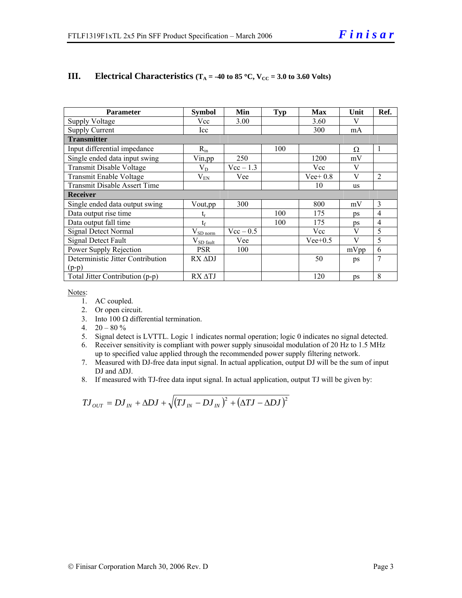| <b>Parameter</b>                    | <b>Symbol</b>                   | Min         | <b>Typ</b> | <b>Max</b> | Unit      | Ref.           |  |  |
|-------------------------------------|---------------------------------|-------------|------------|------------|-----------|----------------|--|--|
| <b>Supply Voltage</b>               | Vcc                             | 3.00        |            | 3.60       | V         |                |  |  |
| <b>Supply Current</b>               | Icc                             |             |            | 300        | mA        |                |  |  |
| <b>Transmitter</b>                  |                                 |             |            |            |           |                |  |  |
| Input differential impedance        | $R_{in}$                        |             | 100        |            | Ω         | 1              |  |  |
| Single ended data input swing       | Vin,pp                          | 250         |            | 1200       | mV        |                |  |  |
| Transmit Disable Voltage            | $\rm V_{D}$                     | $Vec-1.3$   |            | Vcc        | V         |                |  |  |
| Transmit Enable Voltage             | $\rm V_{EN}$                    | Vee         |            | $Vee+0.8$  | V         | 2              |  |  |
| <b>Transmit Disable Assert Time</b> |                                 |             |            | 10         | <b>us</b> |                |  |  |
| <b>Receiver</b>                     |                                 |             |            |            |           |                |  |  |
| Single ended data output swing      | Vout, pp                        | 300         |            | 800        | mV        | 3              |  |  |
| Data output rise time               |                                 |             | 100        | 175        | ps        | $\overline{4}$ |  |  |
| Data output fall time               | $t_{\rm f}$                     |             | 100        | 175        | ps        | 4              |  |  |
| Signal Detect Normal                | $V_{SD\underline{\text{norm}}}$ | $Vec - 0.5$ |            | Vcc        | V         | 5              |  |  |
| Signal Detect Fault                 | $V_{SD \text{ fault}}$          | Vee         |            | $Vee+0.5$  | V         | 5              |  |  |
| Power Supply Rejection              | <b>PSR</b>                      | 100         |            |            | mVpp      | 6              |  |  |
| Deterministic Jitter Contribution   | $RX$ $ADJ$                      |             |            | 50         | ps        | 7              |  |  |
| $(p-p)$                             |                                 |             |            |            |           |                |  |  |
| Total Jitter Contribution (p-p)     | RX ATJ                          |             |            | 120        | ps        | 8              |  |  |

#### **III.** Electrical Characteristics ( $T_A = -40$  to 85 °C,  $V_{CC} = 3.0$  to 3.60 Volts)

Notes:

- 1. AC coupled.
- 2. Or open circuit.
- 3. Into  $100 \Omega$  differential termination.
- 4.  $20 80 \%$
- 5. Signal detect is LVTTL. Logic 1 indicates normal operation; logic 0 indicates no signal detected.
- 6. Receiver sensitivity is compliant with power supply sinusoidal modulation of 20 Hz to 1.5 MHz up to specified value applied through the recommended power supply filtering network.
- 7. Measured with DJ-free data input signal. In actual application, output DJ will be the sum of input DJ and ∆DJ.
- 8. If measured with TJ-free data input signal. In actual application, output TJ will be given by:

$$
T J_{OUT} = D J_{IN} + \Delta D J + \sqrt{(T J_{IN} - D J_{IN})^2 + (\Delta T J - \Delta D J)^2}
$$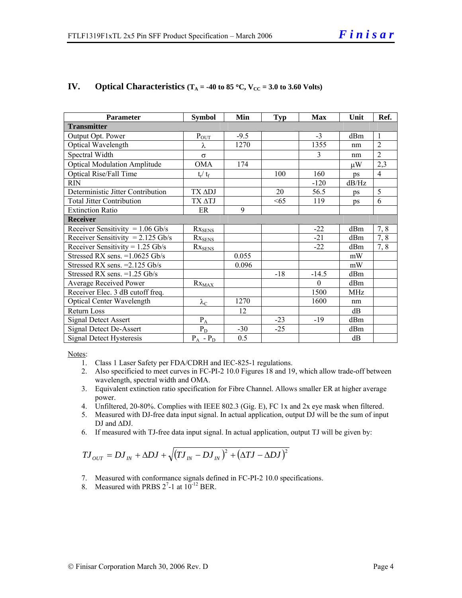| <b>Parameter</b>                    | <b>Symbol</b>          | Min    | <b>Typ</b> | <b>Max</b> | Unit       | Ref.           |
|-------------------------------------|------------------------|--------|------------|------------|------------|----------------|
| <b>Transmitter</b>                  |                        |        |            |            |            |                |
| Output Opt. Power                   | $P_{OUT}$              | $-9.5$ |            | $-3$       | dBm        | $\mathbf{1}$   |
| Optical Wavelength                  | λ                      | 1270   |            | 1355       | nm         | $\overline{2}$ |
| Spectral Width                      | $\sigma$               |        |            | 3          | nm         | $\overline{2}$ |
| <b>Optical Modulation Amplitude</b> | <b>OMA</b>             | 174    |            |            | μW         | 2,3            |
| <b>Optical Rise/Fall Time</b>       | $t_r/ t_f$             |        | 100        | 160        | ps         | $\overline{4}$ |
| <b>RIN</b>                          |                        |        |            | $-120$     | dB/Hz      |                |
| Deterministic Jitter Contribution   | TX ADJ                 |        | 20         | 56.5       | ps         | 5              |
| <b>Total Jitter Contribution</b>    | TX ATJ                 |        | <65        | 119        | ps         | 6              |
| <b>Extinction Ratio</b>             | ER                     | 9      |            |            |            |                |
| <b>Receiver</b>                     |                        |        |            |            |            |                |
| Receiver Sensitivity = $1.06$ Gb/s  | $Rx_{SENS}$            |        |            | $-22$      | dBm        | 7,8            |
| Receiver Sensitivity = $2.125$ Gb/s | $Rx_{SENS}$            |        |            | $-21$      | dBm        | 7,8            |
| Receiver Sensitivity = $1.25$ Gb/s  | $Rx_{SENS}$            |        |            | $-22$      | dBm        | 7,8            |
| Stressed RX sens. = 1.0625 Gb/s     |                        | 0.055  |            |            | mW         |                |
| Stressed RX sens. = 2.125 Gb/s      |                        | 0.096  |            |            | mW         |                |
| Stressed RX sens. $=1.25$ Gb/s      |                        |        | $-18$      | $-14.5$    | dBm        |                |
| Average Received Power              | $Rx_{\underline{MAX}}$ |        |            | $\Omega$   | dBm        |                |
| Receiver Elec. 3 dB cutoff freq.    |                        |        |            | 1500       | <b>MHz</b> |                |
| <b>Optical Center Wavelength</b>    | $\lambda_{\text{C}}$   | 1270   |            | 1600       | nm         |                |
| <b>Return Loss</b>                  |                        | 12     |            |            | dB         |                |
| <b>Signal Detect Assert</b>         | $P_A$                  |        | $-23$      | $-19$      | dBm        |                |
| Signal Detect De-Assert             | $P_D$                  | $-30$  | $-25$      |            | dBm        |                |
| Signal Detect Hysteresis            | $P_A - P_D$            | 0.5    |            |            | dB         |                |

#### **IV.** Optical Characteristics ( $T_A$  = -40 to 85 °C,  $V_{CC}$  = 3.0 to 3.60 Volts)

Notes:

- 1. Class 1 Laser Safety per FDA/CDRH and IEC-825-1 regulations.
- 2. Also specificied to meet curves in FC-PI-2 10.0 Figures 18 and 19, which allow trade-off between wavelength, spectral width and OMA.
- 3. Equivalent extinction ratio specification for Fibre Channel. Allows smaller ER at higher average power.
- 4. Unfiltered, 20-80%. Complies with IEEE 802.3 (Gig. E), FC 1x and 2x eye mask when filtered.
- 5. Measured with DJ-free data input signal. In actual application, output DJ will be the sum of input DJ and ∆DJ.
- 6. If measured with TJ-free data input signal. In actual application, output TJ will be given by:

$$
T J_{OUT} = D J_{IN} + \Delta D J + \sqrt{(T J_{IN} - D J_{IN})^2 + (\Delta T J - \Delta D J)^2}
$$

- 7. Measured with conformance signals defined in FC-PI-2 10.0 specifications.
- 8. Measured with PRBS  $2^7$ -1 at  $10^{-12}$  BER.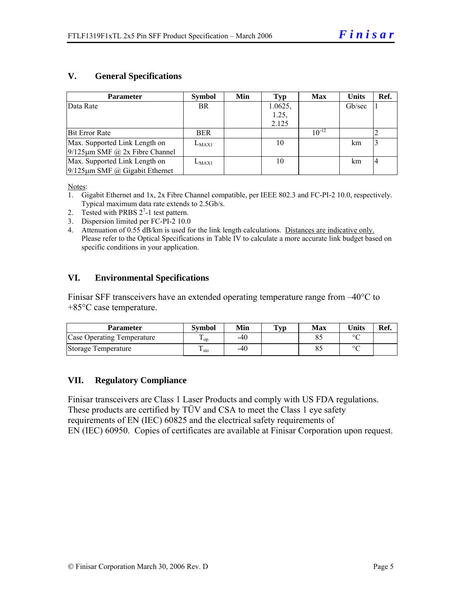#### **V. General Specifications**

| <b>Parameter</b>                     | <b>Symbol</b> | Min | Typ     | <b>Max</b> | <b>Units</b> | Ref.           |
|--------------------------------------|---------------|-----|---------|------------|--------------|----------------|
| Data Rate                            | <b>BR</b>     |     | 1.0625, |            | Gb/sec       |                |
|                                      |               |     | 1.25,   |            |              |                |
|                                      |               |     | 2.125   |            |              |                |
| <b>Bit Error Rate</b>                | <b>BER</b>    |     |         | $10^{-12}$ |              |                |
| Max. Supported Link Length on        | $L_{MAX1}$    |     | 10      |            | km           |                |
| $9/125 \mu m$ SMF @ 2x Fibre Channel |               |     |         |            |              |                |
| Max. Supported Link Length on        | $L_{MAX1}$    |     | 10      |            | km           | $\overline{4}$ |
| $9/125 \mu m$ SMF @ Gigabit Ethernet |               |     |         |            |              |                |

Notes:

- 1. Gigabit Ethernet and 1x, 2x Fibre Channel compatible, per IEEE 802.3 and FC-PI-2 10.0, respectively. Typical maximum data rate extends to 2.5Gb/s.
- 2. Tested with PRBS  $2^7$ -1 test pattern.
- 3. Dispersion limited per FC-PI-2 10.0
- 4. Attenuation of 0.55 dB/km is used for the link length calculations. Distances are indicative only. Please refer to the Optical Specifications in Table IV to calculate a more accurate link budget based on specific conditions in your application.

#### **VI. Environmental Specifications**

Finisar SFF transceivers have an extended operating temperature range from –40°C to +85°C case temperature.

| Parameter                         | <b>Symbol</b>           | Min | Typ | Max | $\mathbf{v}_{\text{hits}}$ | Ref. |
|-----------------------------------|-------------------------|-----|-----|-----|----------------------------|------|
| <b>Case Operating Temperature</b> | ᠇᠇<br>$\mathbf{L}$ op   | -40 |     |     | $\circ$                    |      |
| Storage Temperature               | ᠇᠇<br>$\frac{1}{1}$ sto | -40 |     |     | $\circ$                    |      |

#### **VII. Regulatory Compliance**

Finisar transceivers are Class 1 Laser Products and comply with US FDA regulations. These products are certified by TÜV and CSA to meet the Class 1 eye safety requirements of EN (IEC) 60825 and the electrical safety requirements of EN (IEC) 60950. Copies of certificates are available at Finisar Corporation upon request.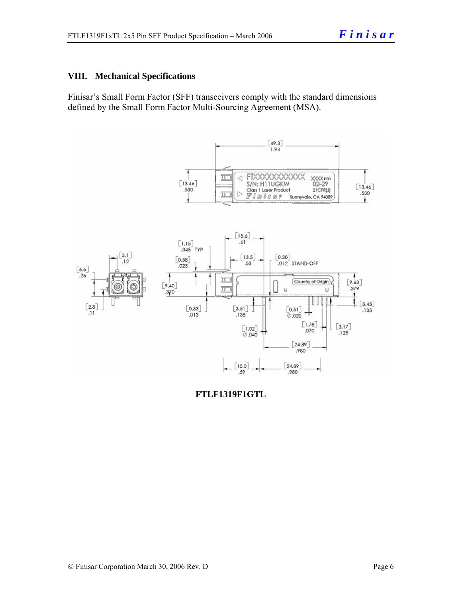#### **VIII. Mechanical Specifications**

Finisar's Small Form Factor (SFF) transceivers comply with the standard dimensions defined by the Small Form Factor Multi-Sourcing Agreement (MSA).



**FTLF1319F1GTL**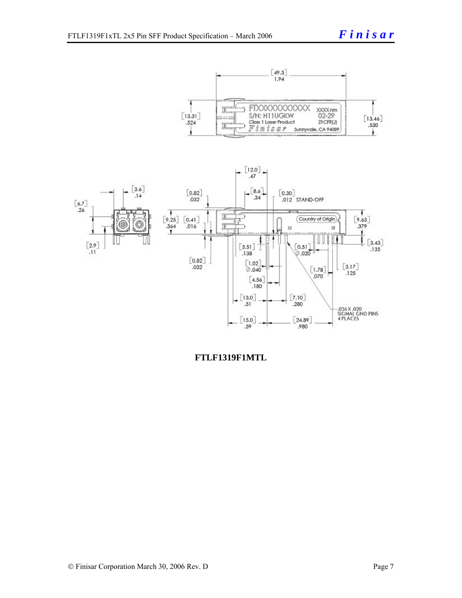



**FTLF1319F1MTL**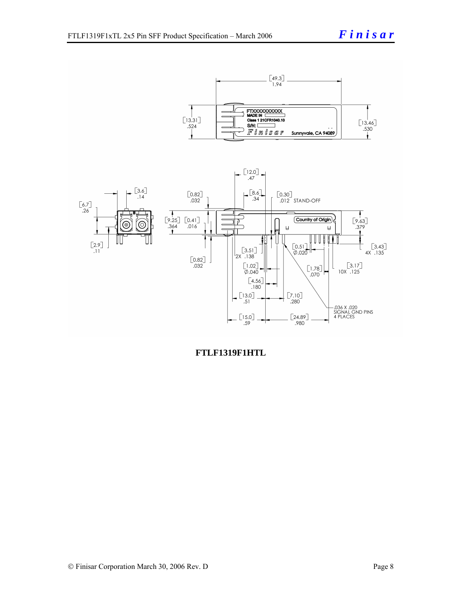



**FTLF1319F1HTL**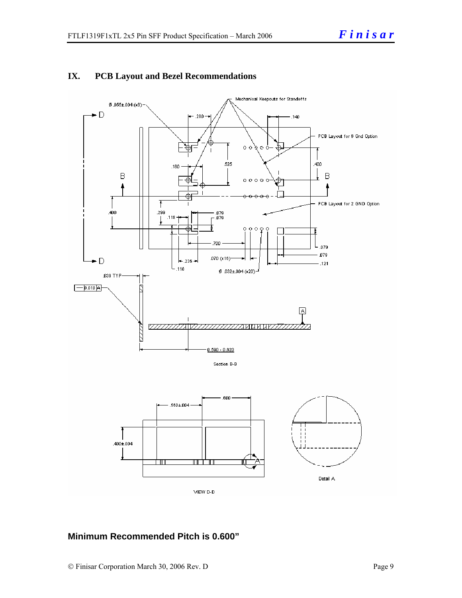

#### **IX. PCB Layout and Bezel Recommendations**

#### **Minimum Recommended Pitch is 0.600"**